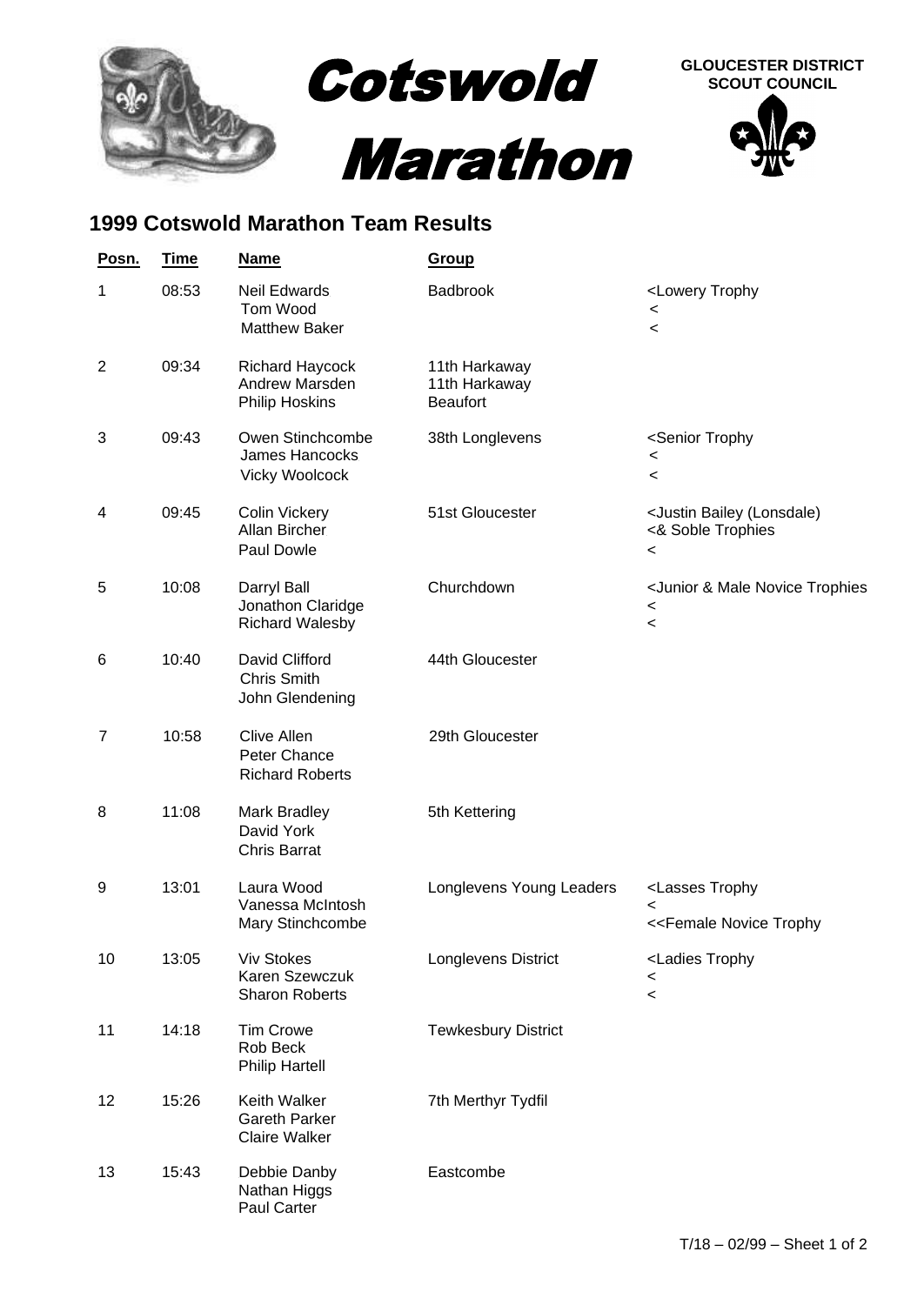

## **1999 Cotswold Marathon Team Results**

| Posn.          | <u>Time</u> | <b>Name</b>                                                         | <b>Group</b>                                      |                                                                                                          |
|----------------|-------------|---------------------------------------------------------------------|---------------------------------------------------|----------------------------------------------------------------------------------------------------------|
| 1              | 08:53       | <b>Neil Edwards</b><br>Tom Wood<br><b>Matthew Baker</b>             | <b>Badbrook</b>                                   | <lowery trophy<br=""><math>\,&lt;\,</math><br/><math>\,&lt;\,</math></lowery>                            |
| $\overline{2}$ | 09:34       | <b>Richard Haycock</b><br>Andrew Marsden<br><b>Philip Hoskins</b>   | 11th Harkaway<br>11th Harkaway<br><b>Beaufort</b> |                                                                                                          |
| 3              | 09:43       | Owen Stinchcombe<br>James Hancocks.<br><b>Vicky Woolcock</b>        | 38th Longlevens                                   | <senior trophy<br=""><math>\,&lt;\,</math><br/><math>\,&lt;\,</math></senior>                            |
| 4              | 09:45       | <b>Colin Vickery</b><br>Allan Bircher<br>Paul Dowle                 | 51st Gloucester                                   | <justin (lonsdale)<br="" bailey="">&lt;&amp; Soble Trophies<br/><math>\,&lt;\,</math></justin>           |
| 5              | 10:08       | Darryl Ball<br>Jonathon Claridge<br><b>Richard Walesby</b>          | Churchdown                                        | <junior &="" male="" novice="" trophies<br=""><math>\,&lt;\,</math><br/><math>\,&lt;\,</math></junior>   |
| 6              | 10:40       | David Clifford<br><b>Chris Smith</b><br>John Glendening             | 44th Gloucester                                   |                                                                                                          |
| $\overline{7}$ | 10:58       | Clive Allen<br>Peter Chance<br><b>Richard Roberts</b>               | 29th Gloucester                                   |                                                                                                          |
| 8              | 11:08       | <b>Mark Bradley</b><br>David York<br><b>Chris Barrat</b>            | 5th Kettering                                     |                                                                                                          |
| 9              | 13:01       | Laura Wood<br>Vanessa McIntosh<br>Mary Stinchcombe                  | Longlevens Young Leaders                          | <lasses trophy<br=""><math>\,&lt;\,</math><br/>&lt;<female novice="" td="" trophy<=""></female></lasses> |
| 10             | 13:05       | <b>Viv Stokes</b><br>Karen Szewczuk<br><b>Sharon Roberts</b>        | Longlevens District                               | <ladies trophy<br=""><math>\,&lt;\,</math><br/><math>\,&lt;\,</math></ladies>                            |
| 11             | 14:18       | <b>Tim Crowe</b><br>Rob Beck<br><b>Philip Hartell</b>               | <b>Tewkesbury District</b>                        |                                                                                                          |
| 12             | 15:26       | <b>Keith Walker</b><br><b>Gareth Parker</b><br><b>Claire Walker</b> | 7th Merthyr Tydfil                                |                                                                                                          |
| 13             | 15:43       | Debbie Danby<br>Nathan Higgs<br>Paul Carter                         | Eastcombe                                         |                                                                                                          |